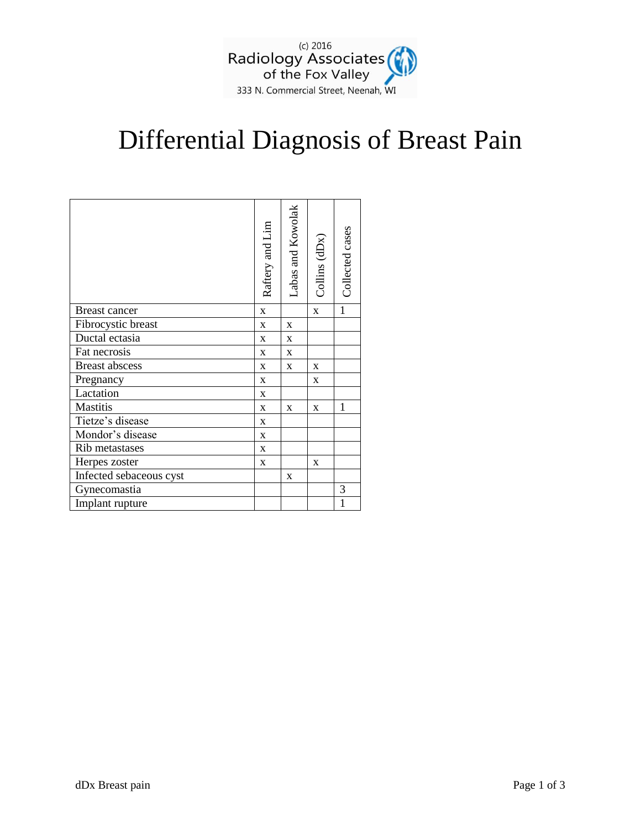

## Differential Diagnosis of Breast Pain

|                         | Raftery and Lim | Labas and Kowolak | Collins (dDx) | Collected cases |
|-------------------------|-----------------|-------------------|---------------|-----------------|
| Breast cancer           | $\mathbf X$     |                   | $\mathbf X$   | $\mathbf{1}$    |
| Fibrocystic breast      | $\mathbf X$     | $\mathbf X$       |               |                 |
| Ductal ectasia          | $\mathbf X$     | $\mathbf X$       |               |                 |
| Fat necrosis            | X               | X                 |               |                 |
| <b>Breast abscess</b>   | X               | X                 | X             |                 |
| Pregnancy               | X               |                   | X             |                 |
| Lactation               | X               |                   |               |                 |
| Mastitis                | X               | X                 | X             | 1               |
| Tietze's disease        | $\mathbf X$     |                   |               |                 |
| Mondor's disease        | X               |                   |               |                 |
| Rib metastases          | X               |                   |               |                 |
| Herpes zoster           | X               |                   | X             |                 |
| Infected sebaceous cyst |                 | X                 |               |                 |
| Gynecomastia            |                 |                   |               | 3               |
| Implant rupture         |                 |                   |               | $\mathbf{1}$    |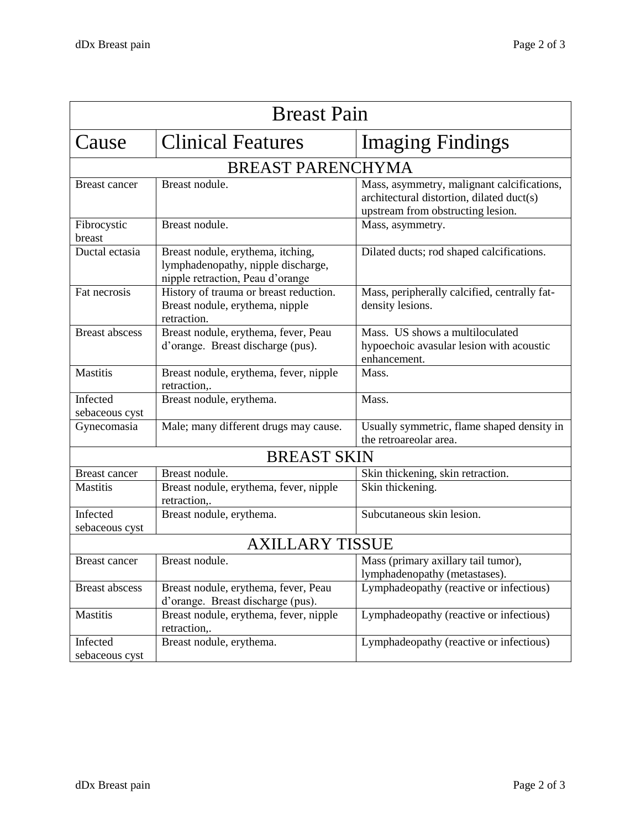| <b>Breast Pain</b>         |                                                                                                             |                                                                                                                              |  |  |
|----------------------------|-------------------------------------------------------------------------------------------------------------|------------------------------------------------------------------------------------------------------------------------------|--|--|
| Cause                      | <b>Clinical Features</b>                                                                                    | <b>Imaging Findings</b>                                                                                                      |  |  |
| <b>BREAST PARENCHYMA</b>   |                                                                                                             |                                                                                                                              |  |  |
| <b>Breast cancer</b>       | Breast nodule.                                                                                              | Mass, asymmetry, malignant calcifications,<br>architectural distortion, dilated duct(s)<br>upstream from obstructing lesion. |  |  |
| Fibrocystic<br>breast      | Breast nodule.                                                                                              | Mass, asymmetry.                                                                                                             |  |  |
| Ductal ectasia             | Breast nodule, erythema, itching,<br>lymphadenopathy, nipple discharge,<br>nipple retraction, Peau d'orange | Dilated ducts; rod shaped calcifications.                                                                                    |  |  |
| Fat necrosis               | History of trauma or breast reduction.<br>Breast nodule, erythema, nipple<br>retraction.                    | Mass, peripherally calcified, centrally fat-<br>density lesions.                                                             |  |  |
| Breast abscess             | Breast nodule, erythema, fever, Peau<br>d'orange. Breast discharge (pus).                                   | Mass. US shows a multiloculated<br>hypoechoic avasular lesion with acoustic<br>enhancement.                                  |  |  |
| <b>Mastitis</b>            | Breast nodule, erythema, fever, nipple<br>retraction,.                                                      | Mass.                                                                                                                        |  |  |
| Infected<br>sebaceous cyst | Breast nodule, erythema.                                                                                    | Mass.                                                                                                                        |  |  |
| Gynecomasia                | Male; many different drugs may cause.                                                                       | Usually symmetric, flame shaped density in<br>the retroareolar area.                                                         |  |  |
| <b>BREAST SKIN</b>         |                                                                                                             |                                                                                                                              |  |  |
| <b>Breast cancer</b>       | Breast nodule.                                                                                              | Skin thickening, skin retraction.                                                                                            |  |  |
| <b>Mastitis</b>            | Breast nodule, erythema, fever, nipple<br>retraction,.                                                      | Skin thickening.                                                                                                             |  |  |
| Infected<br>sebaceous cyst | Breast nodule, erythema.                                                                                    | Subcutaneous skin lesion.                                                                                                    |  |  |
| <b>AXILLARY TISSUE</b>     |                                                                                                             |                                                                                                                              |  |  |
| <b>Breast cancer</b>       | Breast nodule.                                                                                              | Mass (primary axillary tail tumor),<br>lymphadenopathy (metastases).                                                         |  |  |
| <b>Breast abscess</b>      | Breast nodule, erythema, fever, Peau<br>d'orange. Breast discharge (pus).                                   | Lymphadeopathy (reactive or infectious)                                                                                      |  |  |
| <b>Mastitis</b>            | Breast nodule, erythema, fever, nipple<br>retraction,.                                                      | Lymphadeopathy (reactive or infectious)                                                                                      |  |  |
| Infected<br>sebaceous cyst | Breast nodule, erythema.                                                                                    | Lymphadeopathy (reactive or infectious)                                                                                      |  |  |